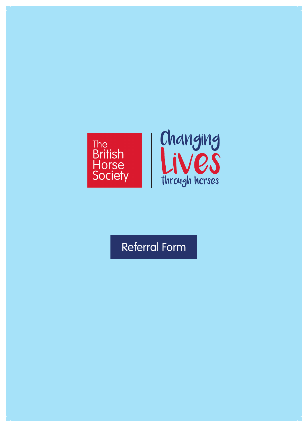

# Referral Form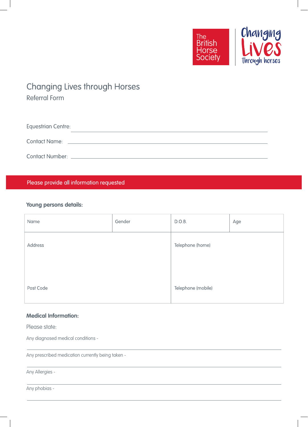

# **Changing Lives through Horses**

Referral Form

| Equestrian Centre:   |  |
|----------------------|--|
| <b>Contact Name:</b> |  |
| Contact Number:      |  |

Please provide all information requested

### **Young persons details:**

| Name      | Gender | D.O.B.             | Age |
|-----------|--------|--------------------|-----|
| Address   |        | Telephone (home)   |     |
|           |        |                    |     |
| Post Code |        | Telephone (mobile) |     |

## **Medical Information:**

Please state:

Any diagnosed medical conditions -

Any prescribed medication currently being taken -

Any Allergies -

Any phobias -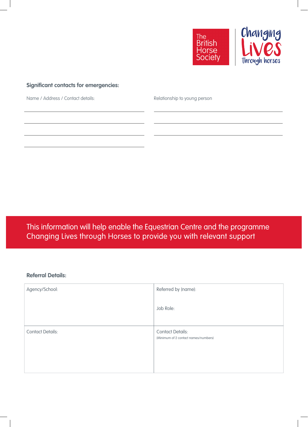

## **Significant contacts for emergencies:**

Name / Address / Contact details: Relationship to young person

This information will help enable the Equestrian Centre and the programme Changing Lives through Horses to provide you with relevant support

#### **Referral Details:**

| Agency/School:          | Referred by (name):                                             |
|-------------------------|-----------------------------------------------------------------|
|                         | Job Role:                                                       |
| <b>Contact Details:</b> | <b>Contact Details:</b><br>(Minimum of 2 contact names/numbers) |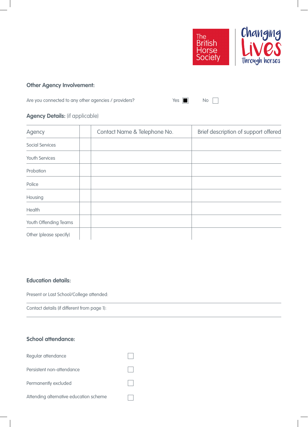

# **Other Agency Involvement:**

Are you connected to any other agencies / providers? The Message Monte Note 2014

## **Agency Details:** (if applicable)

| Agency                 | Contact Name & Telephone No. | Brief description of support offered |
|------------------------|------------------------------|--------------------------------------|
| <b>Social Services</b> |                              |                                      |
| Youth Services         |                              |                                      |
| Probation              |                              |                                      |
| Police                 |                              |                                      |
| Housing                |                              |                                      |
| Health                 |                              |                                      |
| Youth Offending Teams  |                              |                                      |
| Other (please specify) |                              |                                      |

#### **Education details:**

Present or Last School/College attended:

Contact details (if different from page 1):

#### **School attendance:**

| Regular attendance                     |  |
|----------------------------------------|--|
| Persistent non-attendance              |  |
| Permanently excluded                   |  |
| Attending alternative education scheme |  |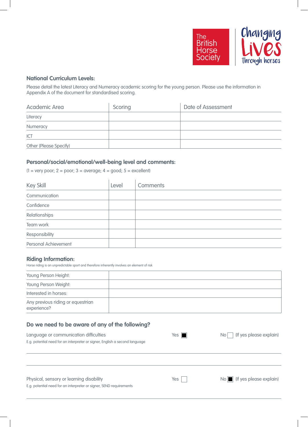

### **National Curriculum Levels:**

Please detail the latest Literacy and Numeracy academic scoring for the young person. Please use the information in Appendix A of the document for standardised scoring.

| Academic Area          | Scoring | Date of Assessment |
|------------------------|---------|--------------------|
| Literacy               |         |                    |
| Numeracy               |         |                    |
| ICT                    |         |                    |
| Other (Please Specify) |         |                    |

#### **Personal/social/emotional/well-being level and comments:**

 $(1 = \text{very poor}; 2 = \text{poor}; 3 = \text{average}; 4 = \text{good}; 5 = \text{excellent})$ 

| Key Skill            | Level | Comments |
|----------------------|-------|----------|
| Communication        |       |          |
| Confidence           |       |          |
| Relationships        |       |          |
| Team work            |       |          |
| Responsibility       |       |          |
| Personal Achievement |       |          |

#### **Riding Information:**

Horse riding is an unpredictable sport and therefore inherently involves an element of risk

| Young Person Height:                             |  |
|--------------------------------------------------|--|
| Young Person Weight:                             |  |
| Interested in horses:                            |  |
| Any previous riding or equestrian<br>experience? |  |

#### **Do we need to be aware of any of the following?**

| Language or communication difficulties                                      | Yes | (If yes please explain)<br>No <sub>1</sub>       |
|-----------------------------------------------------------------------------|-----|--------------------------------------------------|
| E.g. potential need for an interpreter or signer, English a second language |     |                                                  |
|                                                                             |     |                                                  |
|                                                                             |     |                                                  |
|                                                                             |     |                                                  |
|                                                                             |     |                                                  |
| Physical, sensory or learning disability                                    | Yes | $\overline{\mathsf{No}}$ (If yes please explain) |
| E.g. potential need for an interpreter or signer, SEND requirements         |     |                                                  |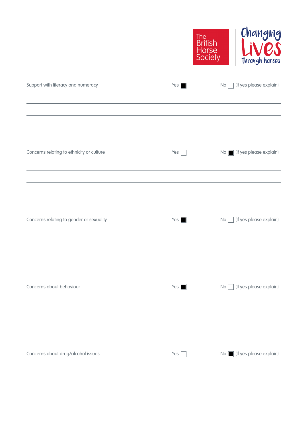|                                           |                      | Changing<br>The<br>British<br>Horse<br>Society<br>through horses |
|-------------------------------------------|----------------------|------------------------------------------------------------------|
| Support with literacy and numeracy        | Yes $\blacksquare$   | (If yes please explain)<br>No                                    |
| Concerns relating to ethnicity or culture | Yes $\vert$          | No   (If yes please explain)                                     |
| Concerns relating to gender or sexuality  | $Yes \n\blacksquare$ | (If yes please explain)<br>No                                    |
| Concerns about behaviour                  | $Yes \n$             | (If yes please explain)<br>No                                    |
| Concerns about drug/alcohol issues        | Yes                  | No   (If yes please explain)                                     |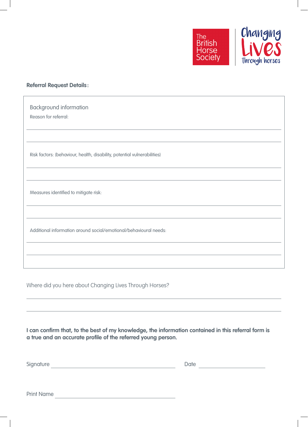

#### **Referral Request Details :**

| <b>Background information</b><br>Reason for referral:                    |
|--------------------------------------------------------------------------|
|                                                                          |
| Risk factors: (behaviour, health, disability, potential vulnerabilities) |
|                                                                          |
| Measures identified to mitigate risk:                                    |
|                                                                          |
| Additional information around social/emotional/behavioural needs:        |
|                                                                          |
|                                                                          |

Where did you here about Changing Lives Through Horses?

**I can confirm that, to the best of my knowledge, the information contained in this referral form is a true and an accurate profile of the referred young person.**

| $\sim$ |  |  |
|--------|--|--|
|        |  |  |

Print Name